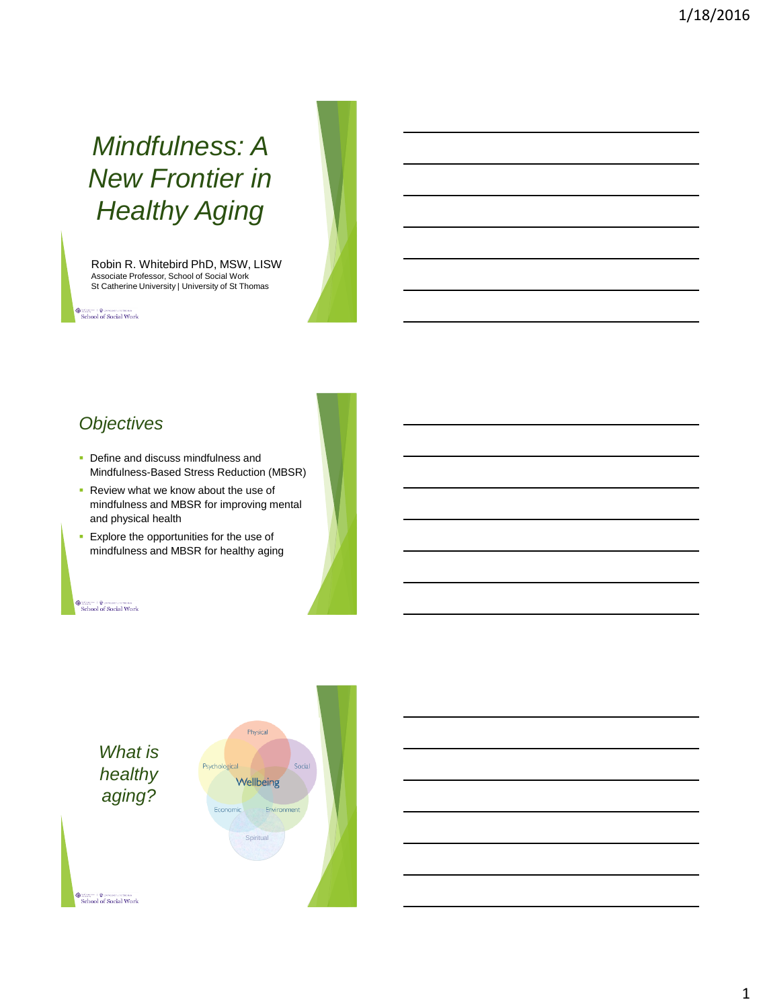# *Mindfulness: A New Frontier in Healthy Aging*

Robin R. Whitebird PhD, MSW, LISW Associate Professor, School of Social Work St Catherine University | University of St Thomas

School of Social Work

# *Objectives*

- Define and discuss mindfulness and Mindfulness-Based Stress Reduction (MBSR)
- **Review what we know about the use of** mindfulness and MBSR for improving mental and physical health
- **Explore the opportunities for the use of** mindfulness and MBSR for healthy aging

#### School of Social Work

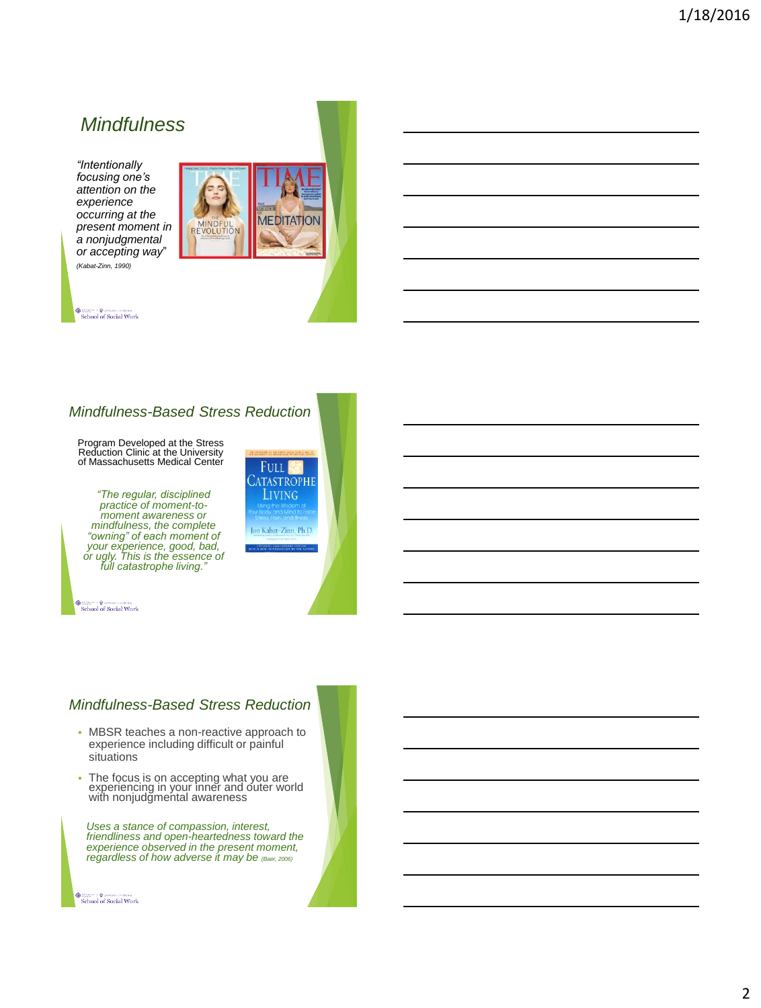## *Mindfulness*

*"Intentionally focusing one's attention on the experience occurring at the present moment in a nonjudgmental or accepting way*" *(Kabat-Zinn, 1990)*



 $\begin{tabular}{l} {\bf 0} & {\bf 0} & {\bf 0} & {\bf 0} & {\bf 0} & {\bf 0} & {\bf 0} & {\bf 0} & {\bf 0} & {\bf 0} & {\bf 0} & {\bf 0} & {\bf 0} & {\bf 0} & {\bf 0} & {\bf 0} & {\bf 0} & {\bf 0} & {\bf 0} & {\bf 0} & {\bf 0} & {\bf 0} & {\bf 0} & {\bf 0} & {\bf 0} & {\bf 0} & {\bf 0} & {\bf 0} & {\bf 0} & {\bf 0} & {\bf 0} & {\bf 0} & {\bf 0} & {\bf 0} & {\bf 0} & {\bf$ 

## *Mindfulness-Based Stress Reduction*

Program Developed at the Stress Reduction Clinic at the University of Massachusetts Medical Center

*"The regular, disciplined practice of moment-to-moment awareness or mindfulness, the complete "owning" of each moment of your experience, good, bad, or ugly. This is the essence of full catastrophe living."*

 $\begin{tabular}{l} @ \textcolor{red}{\textbf{S}} \textcolor{red}{\textbf{S}} \textcolor{red}{\textbf{S}} \textcolor{red}{\textbf{S}} \textcolor{red}{\textbf{S}} \textcolor{red}{\textbf{S}} \textcolor{red}{\textbf{S}} \textcolor{red}{\textbf{S}} \textcolor{red}{\textbf{S}} \textcolor{red}{\textbf{S}} \textcolor{red}{\textbf{S}} \textcolor{red}{\textbf{S}} \textcolor{red}{\textbf{S}} \textcolor{red}{\textbf{S}} \textcolor{red}{\textbf{S}} \textcolor{red}{\textbf{S}} \textcolor{red}{\textbf{S}} \textcolor{red}{\$ 



## *Mindfulness-Based Stress Reduction*

- MBSR teaches a non-reactive approach to experience including difficult or painful situations
- The focus is on accepting what you are experiencing in your inner and outer world with nonjudgmental awareness

*Uses a stance of compassion, interest, friendliness and open-heartedness toward the experience observed in the present moment, regardless of how adverse it may be (Baer, 2006)*

School of Social Work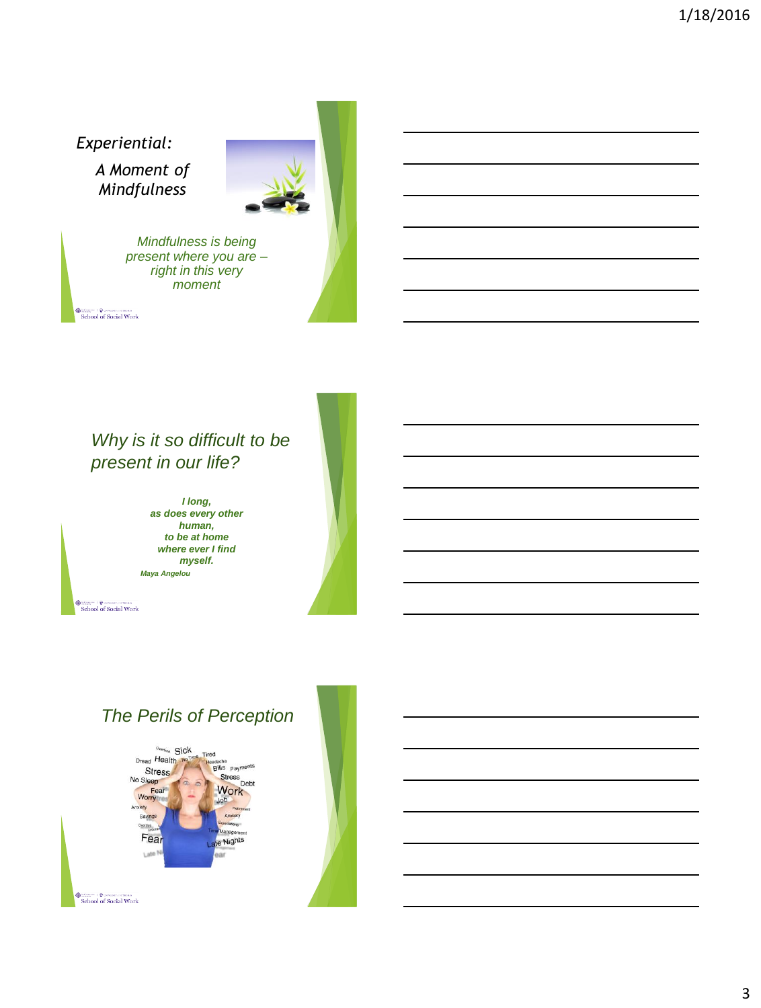*Experiential:*

*A Moment of Mindfulness*



*Mindfulness is being present where you are – right in this very moment*

 $\begin{tabular}{l} @ \begin{tabular}{l} \hline @ \multicolumn{3}{l}{} & \end{tabular} & \begin{tabular}{l} \hline @ \multicolumn{3}{l}{} \\ \hline School of Social Work \\ \end{tabular} \end{tabular}$ 

# *Why is it so difficult to be present in our life?*

*I long, as does every other human, to be at home where ever I find myself. Maya Angelou*

 $\begin{tabular}{l} @ \begin{tabular}{l} \hline @ \multicolumn{3}{l}{} & \end{tabular} & \begin{tabular}{l} \hline @ \multicolumn{3}{l}{} \\ \hline School of Social Work \\ \end{tabular} \end{tabular}$ 

# *The Perils of Perception*

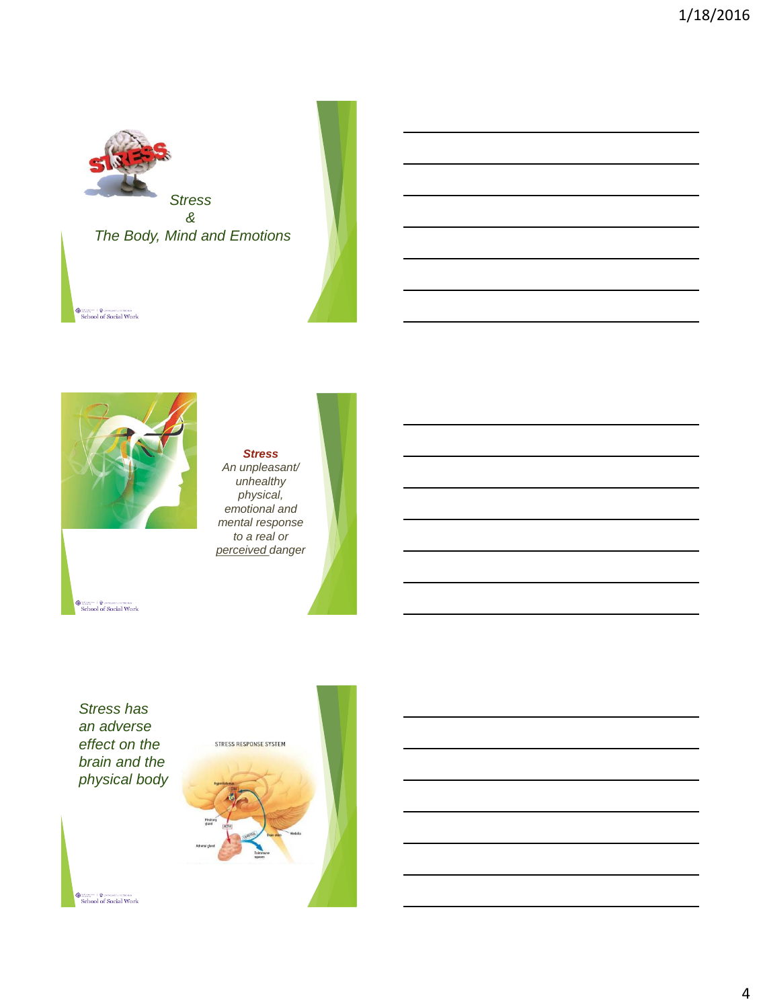



#### *Stress An unpleasant/ unhealthy physical, emotional and mental response to a real or perceived danger*

 $\begin{tabular}{l} @ \textbf{3} & \textbf{6} & \textbf{5} & \textbf{6} & \textbf{6} & \textbf{7} & \textbf{8} & \textbf{8} \\ \hline & \textbf{1} & \textbf{1} & \textbf{1} & \textbf{1} & \textbf{1} & \textbf{1} & \textbf{1} & \textbf{1} & \textbf{1} \\ \textbf{1} & \textbf{1} & \textbf{1} & \textbf{1} & \textbf{1} & \textbf{1} & \textbf{1} & \textbf{1} & \textbf{1} & \textbf{1} & \textbf{1} & \textbf{1} & \textbf{$ 

*Stress has an adverse effect on the brain and the physical body*

 $\begin{tabular}{l} @ \textbf{3} & \textbf{6} & \textbf{5} & \textbf{6} & \textbf{6} & \textbf{7} & \textbf{8} & \textbf{8} \\ \hline & \textbf{1} & \textbf{1} & \textbf{1} & \textbf{1} & \textbf{1} & \textbf{1} & \textbf{1} & \textbf{1} & \textbf{1} \\ \textbf{1} & \textbf{1} & \textbf{1} & \textbf{1} & \textbf{1} & \textbf{1} & \textbf{1} & \textbf{1} & \textbf{1} & \textbf{1} & \textbf{1} & \textbf{1} & \textbf{$ 

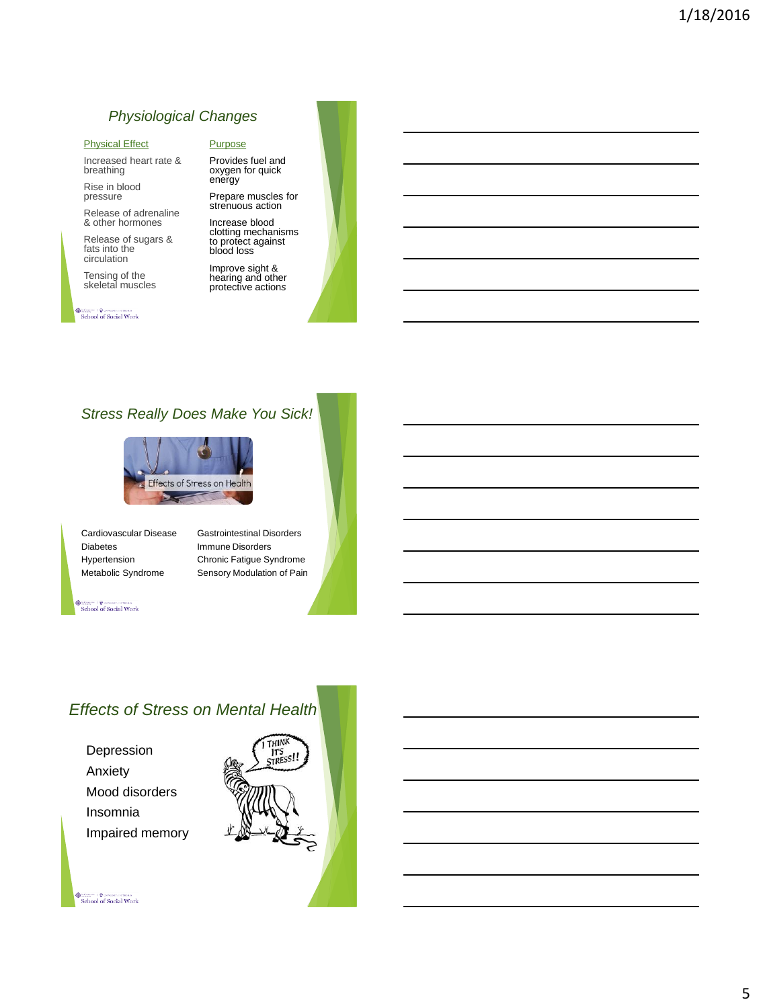## *Physiological Changes*

#### Physical Effect

Increased heart rate & breathing

Rise in blood pressure

Release of adrenaline & other hormones

Release of sugars & fats into the circulation

Tensing of the skeletal muscles

#### School of Social Work

#### **Purpose**

Provides fuel and oxygen for quick energy Prepare muscles for

strenuous action Increase blood clotting mechanisms to protect against

blood loss Improve sight & hearing and other protective action*s are*

## *Stress Really Does Make You Sick!*



Cardiovascular Disease Diabetes Hypertension Metabolic Syndrome

Gastrointestinal Disorders Immune Disorders Chronic Fatigue Syndrome Sensory Modulation of Pain

School of Social Work

## *Effects of Stress on Mental Health*

Depression Anxiety Mood disorders Insomnia Impaired memory

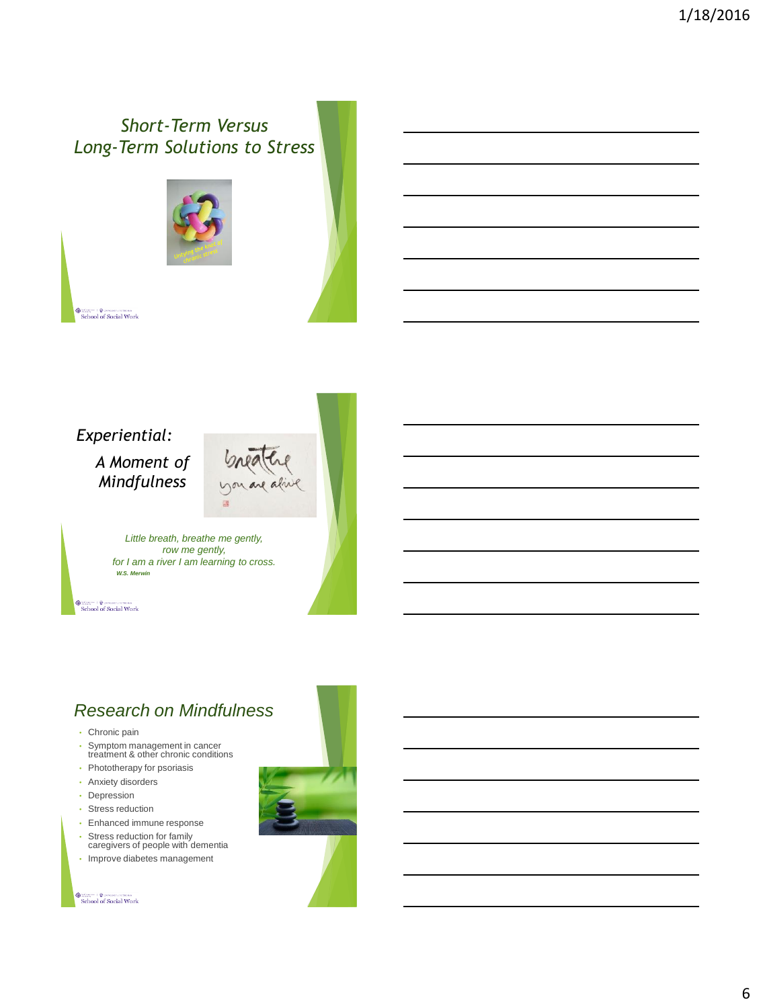# *Short-Term Versus Long-Term Solutions to Stress*



School of Social Work

*Experiential:*

*A Moment of Mindfulness*





*Little breath, breathe me gently, row me gently, for I am a river I am learning to cross. W.S. Merwin*

School of Social Work

## *Research on Mindfulness*

- Chronic pain
- Symptom management in cancer treatment & other chronic conditions
- Phototherapy for psoriasis
- Anxiety disorders
- Depression
- Stress reduction
- Enhanced immune response
- Stress reduction for family caregivers of people with dementia
- Improve diabetes management

 $\begin{tabular}{l} @ \begin{tabular}{l} \hline @ \multicolumn{3}{l}{} & \end{tabular} & \begin{tabular}{l} \hline @ \multicolumn{3}{l}{} \\ \hline School of Social Work \\ \end{tabular} \end{tabular}$ 

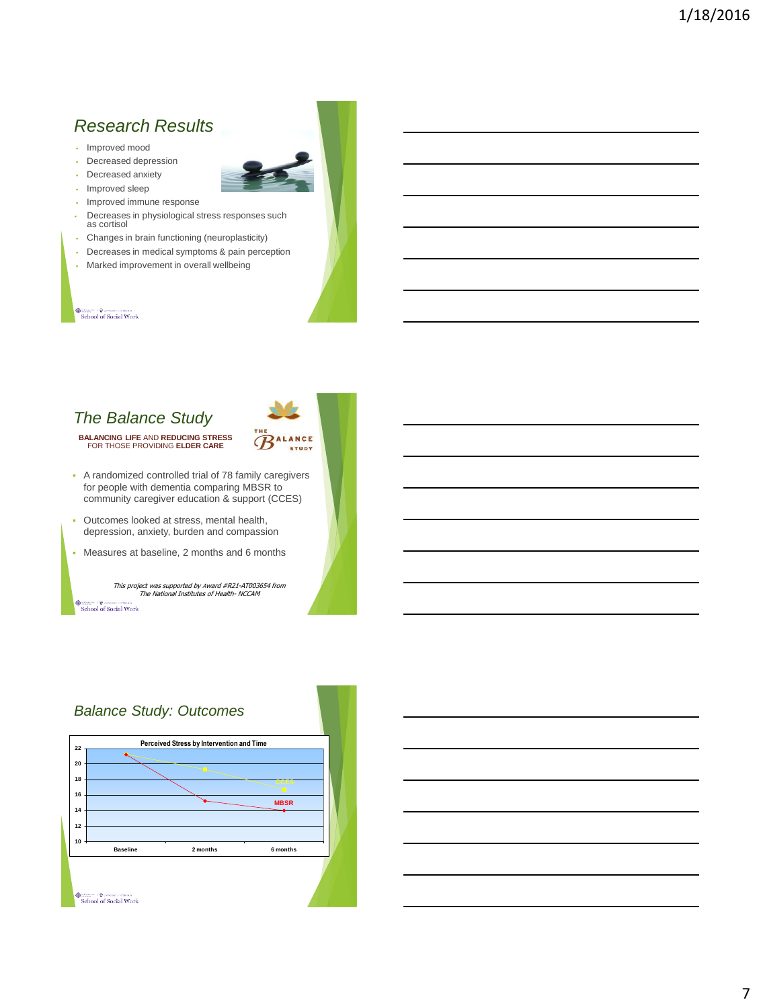## *Research Results*

- Improved mood
- Decreased depression
- Decreased anxiety
- Improved sleep
- **Improved immune response**
- Decreases in physiological stress responses such as cortisol
- Changes in brain functioning (neuroplasticity)
- Decreases in medical symptoms & pain perception
- Marked improvement in overall wellbeing

#### School of Social Work

## *The Balance Study*

**BALANCING LIFE** AND **REDUCING STRESS**  FOR THOSE PROVIDING **ELDER CARE**



- A randomized controlled trial of 78 family caregivers for people with dementia comparing MBSR to community caregiver education & support (CCES)
- Outcomes looked at stress, mental health, depression, anxiety, burden and compassion
- Measures at baseline, 2 months and 6 months

This project was supported by Award #R21-AT003654 from The National Institutes of Health- NCCAM

School of Social Work

### *Balance Study: Outcomes* **Perceived Stress by Intervention and Time22 20 18 CCES 16 MBSR 14 12 10 Baseline 2 months 6 months** School of Social Work

# 7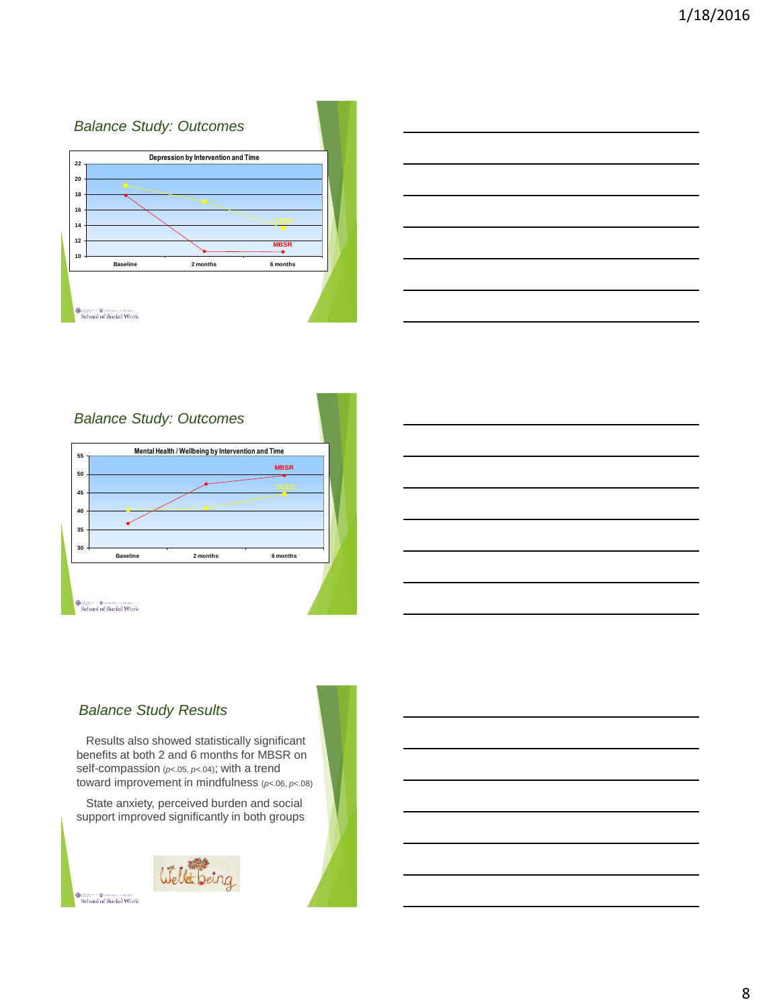## *Balance Study: Outcomes* **Depression by Intervention and Time 22 20 18 16 14 12 MBSR 10 Baseline 2 months 6 months** School of Social Work

| <u> 1989 - Andrea Andrew Maria (h. 1989).</u>                                                                                                                                                                                 |  |                          |
|-------------------------------------------------------------------------------------------------------------------------------------------------------------------------------------------------------------------------------|--|--------------------------|
|                                                                                                                                                                                                                               |  |                          |
|                                                                                                                                                                                                                               |  |                          |
| and the control of the control of the control of the control of the control of the control of the control of the                                                                                                              |  |                          |
| the control of the control of the control of the control of the control of the control of the control of the control of the control of the control of the control of the control of the control of the control of the control |  | $\overline{\phantom{a}}$ |
| ,我们也不会有什么?""我们不会有什么?""我们不会有什么?""我们不会有什么?""我们不会有什么?""我们不会有什么?""我们不会有什么?""我们不会有什么?"<br>第251章 我们不会有什么?"我们不会有什么?""我们不会有什么?""我们不会有什么?""我们不会有什么?""我们不会有什么?""我们不会有什么?""我们不会有                                                         |  |                          |

## *Balance Study: Outcomes*



## *Balance Study Results*

Results also showed statistically significant benefits at both 2 and 6 months for MBSR on self-compassion (*p*<.05, *p*<.04); with a trend toward improvement in mindfulness (*p*<.06, *p*<.08)

State anxiety, perceived burden and social support improved significantly in both groups



 $\begin{tabular}{|c|c|} \hline @begin{array}{|c|c|} \hline @begin{array}{|c|c|} \hline @begin{array}{|c|c|} \hline @begin{array}{|c|c|} \hline @begin{array}{|c|c|} \hline @begin{array}{|c|c|} \hline @begin{array}{|c|c|} \hline @begin{array}{|c|c|} \hline @begin{array}{|c|c|} \hline @begin{array}{|c|c|} \hline @begin{array}{|c|c|} \hline @begin{array}{|c|c|} \hline @begin{array}{|c|c|} \hline @begin{array}{|c|c|} \hline @begin{array}{|c|c$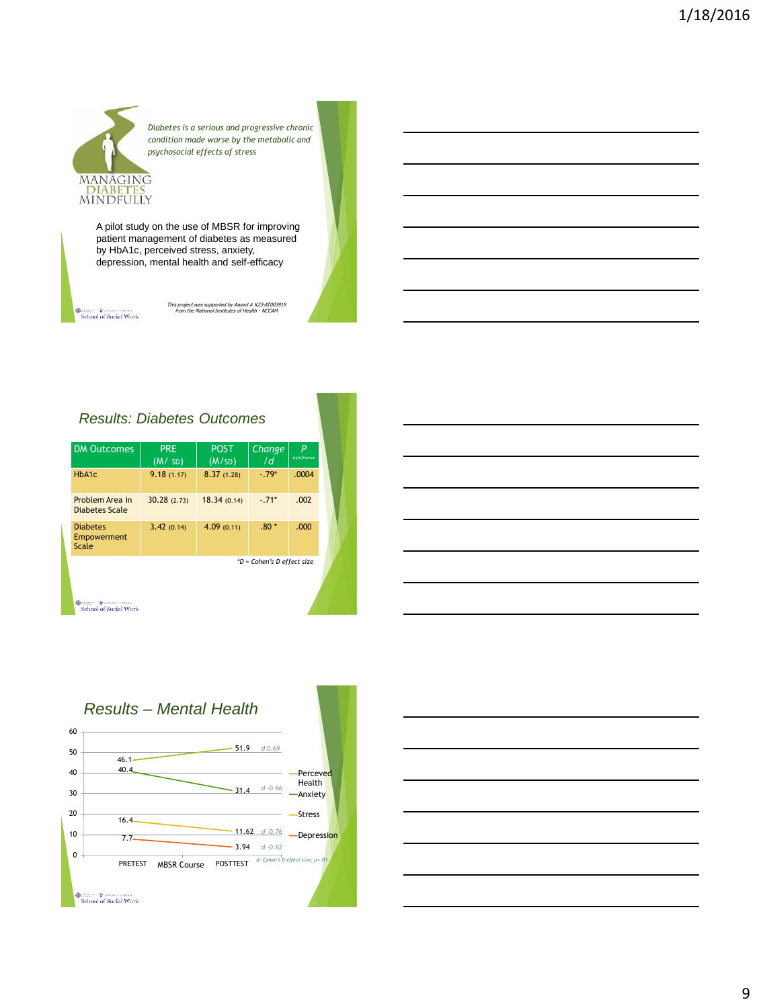# MANAGING DIABETES<br>MINDFULLY

*Diabetes is a serious and progressive chronic condition made worse by the metabolic and psychosocial effects of stress*

A pilot study on the use of MBSR for improving patient management of diabetes as measured by HbA1c, perceived stress, anxiety, depression, mental health and self-efficacy

 $\begin{tabular}{l} @ \begin{tabular}{l} \hline @ \multicolumn{3}{l}{} & \end{tabular} & \begin{tabular}{l} \hline @ \multicolumn{3}{l}{} \\ \hline School of Social Work \\ \end{tabular} \end{tabular}$ 

This project was supported by Award # K23-AT003919 from the National Institutes of Health - NCCAM

## *Results: Diabetes Outcomes*

| <b>DM Outcomes</b>                      | <b>PRF</b><br>(M / SD)     | <b>POST</b><br>(M/SD) | Change<br>/d | P<br>significance |
|-----------------------------------------|----------------------------|-----------------------|--------------|-------------------|
| HbA1c                                   | 9.18(1.17)                 | 8.37(1.28)            | $-79*$       | .0004             |
| Problem Area in<br>Diabetes Scale       | 30.28(2.73)                | 18.34 (0.14)          | $-71*$       | .002              |
| <b>Diabetes</b><br>Empowerment<br>Scale | 3.42(0.14)                 | 4.09(0.11)            | $.80*$       | .000              |
|                                         | *D = Cohen's D effect size |                       |              |                   |

School of Social Work





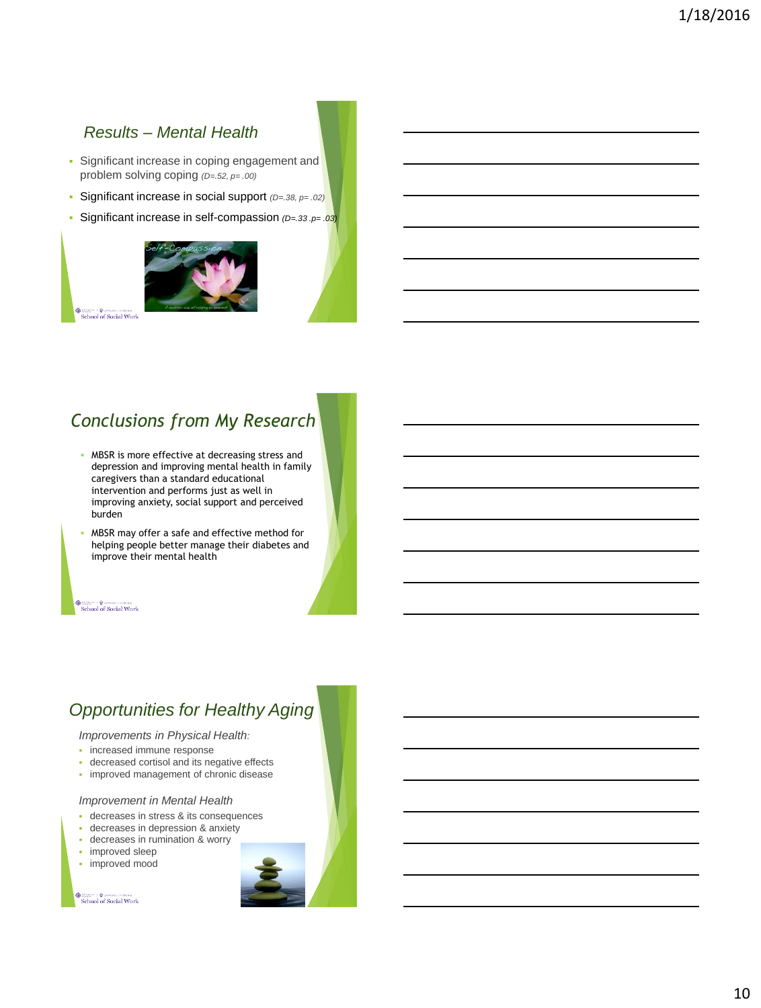## *Results – Mental Health*

- **Significant increase in coping engagement and** problem solving coping *(D=.52, p= .00)*
- Significant increase in social support *(D=.38, p= .02)*
- Significant increase in self-compassion *(D=.33 .p= .03)*



School of Social Work

# *Conclusions from My Research*

- MBSR is more effective at decreasing stress and depression and improving mental health in family caregivers than a standard educational intervention and performs just as well in improving anxiety, social support and perceived burden
- MBSR may offer a safe and effective method for helping people better manage their diabetes and improve their mental health

 $\begin{tabular}{l} @ \textcolor{red}{\textbf{S}} \textcolor{red}{\textbf{S}} \textcolor{red}{\textbf{S}} \textcolor{red}{\textbf{S}} \textcolor{red}{\textbf{S}} \textcolor{red}{\textbf{S}} \textcolor{red}{\textbf{S}} \textcolor{red}{\textbf{S}} \textcolor{red}{\textbf{S}} \textcolor{red}{\textbf{S}} \textcolor{red}{\textbf{S}} \textcolor{red}{\textbf{S}} \textcolor{red}{\textbf{S}} \textcolor{red}{\textbf{S}} \textcolor{red}{\textbf{S}} \textcolor{red}{\textbf{S}} \textcolor{red}{\textbf{S}} \textcolor{red}{\$ 

# *Opportunities for Healthy Aging*

*Improvements in Physical Health:*

- **·** increased immune response
- decreased cortisol and its negative effects
- **·** improved management of chronic disease

#### *Improvement in Mental Health*

- decreases in stress & its consequences
- decreases in depression & anxiety
- decreases in rumination & worry
- improved sleep
- improved mood